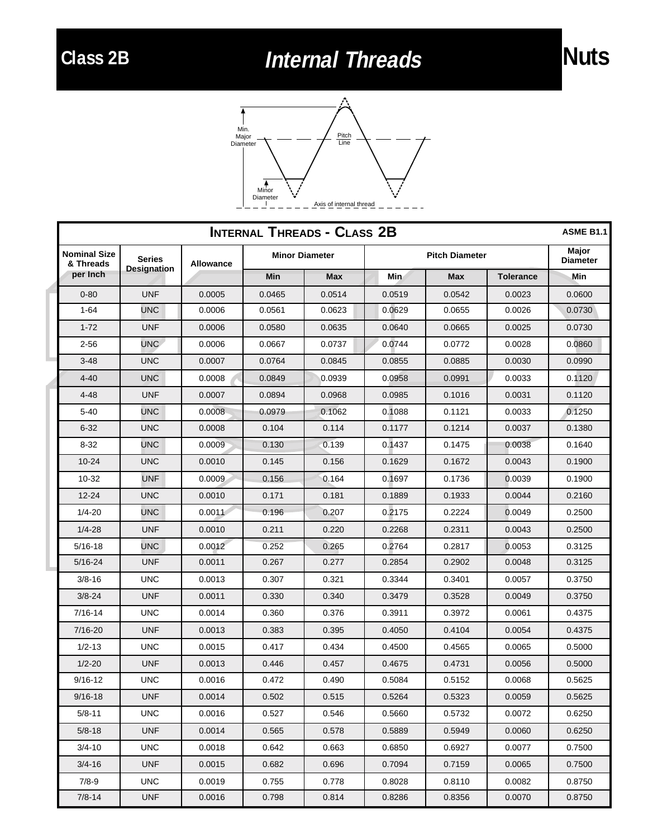## **Class 2B Internal Threads Nuts**





| <b>INTERNAL THREADS - CLASS 2B</b><br><b>ASME B1.1</b> |                                     |                  |                       |            |                       |            |                  |                          |  |  |
|--------------------------------------------------------|-------------------------------------|------------------|-----------------------|------------|-----------------------|------------|------------------|--------------------------|--|--|
| <b>Nominal Size</b><br>& Threads                       | <b>Series</b><br><b>Designation</b> | <b>Allowance</b> | <b>Minor Diameter</b> |            | <b>Pitch Diameter</b> |            |                  | Major<br><b>Diameter</b> |  |  |
| per Inch                                               |                                     |                  | <b>Min</b>            | <b>Max</b> | Min                   | <b>Max</b> | <b>Tolerance</b> | Min                      |  |  |
| $0 - 80$                                               | <b>UNF</b>                          | 0.0005           | 0.0465                | 0.0514     | 0.0519                | 0.0542     | 0.0023           | 0.0600                   |  |  |
| $1 - 64$                                               | UNC                                 | 0.0006           | 0.0561                | 0.0623     | 0.0629                | 0.0655     | 0.0026           | 0.0730                   |  |  |
| $1 - 72$                                               | <b>UNF</b>                          | 0.0006           | 0.0580                | 0.0635     | 0.0640                | 0.0665     | 0.0025           | 0.0730                   |  |  |
| $2 - 56$                                               | <b>UNC</b>                          | 0.0006           | 0.0667                | 0.0737     | 0.0744                | 0.0772     | 0.0028           | 0.0860                   |  |  |
| $3 - 48$                                               | <b>UNC</b>                          | 0.0007           | 0.0764                | 0.0845     | 0.0855                | 0.0885     | 0.0030           | 0.0990                   |  |  |
| $4 - 40$                                               | <b>UNC</b>                          | 0.0008           | 0.0849                | 0.0939     | 0.0958                | 0.0991     | 0.0033           | 0.1120                   |  |  |
| $4 - 48$                                               | <b>UNF</b>                          | 0.0007           | 0.0894                | 0.0968     | 0.0985                | 0.1016     | 0.0031           | 0.1120                   |  |  |
| $5 - 40$                                               | UNC                                 | 0.0008           | 0.0979                | 0.1062     | 0.1088                | 0.1121     | 0.0033           | 0.1250                   |  |  |
| $6 - 32$                                               | <b>UNC</b>                          | 0.0008           | 0.104                 | 0.114      | 0.1177                | 0.1214     | 0.0037           | 0.1380                   |  |  |
| $8 - 32$                                               | UNC                                 | 0.0009           | 0.130                 | 0.139      | 0.1437                | 0.1475     | 0.0038           | 0.1640                   |  |  |
| $10 - 24$                                              | <b>UNC</b>                          | 0.0010           | 0.145                 | 0.156      | 0.1629                | 0.1672     | 0.0043           | 0.1900                   |  |  |
| $10 - 32$                                              | <b>UNF</b>                          | 0.0009           | 0.156                 | 0.164      | 0.1697                | 0.1736     | 0.0039           | 0.1900                   |  |  |
| $12 - 24$                                              | <b>UNC</b>                          | 0.0010           | 0.171                 | 0.181      | 0.1889                | 0.1933     | 0.0044           | 0.2160                   |  |  |
| $1/4 - 20$                                             | UNC                                 | 0.0011           | 0.196                 | 0.207      | 0.2175                | 0.2224     | 0.0049           | 0.2500                   |  |  |
| $1/4 - 28$                                             | <b>UNF</b>                          | 0.0010           | 0.211                 | 0.220      | 0.2268                | 0.2311     | 0.0043           | 0.2500                   |  |  |
| $5/16 - 18$                                            | <b>UNC</b>                          | 0.0012           | 0.252                 | 0.265      | 0.2764                | 0.2817     | 0.0053           | 0.3125                   |  |  |
| $5/16 - 24$                                            | <b>UNF</b>                          | 0.0011           | 0.267                 | 0.277      | 0.2854                | 0.2902     | 0.0048           | 0.3125                   |  |  |
| $3/8 - 16$                                             | <b>UNC</b>                          | 0.0013           | 0.307                 | 0.321      | 0.3344                | 0.3401     | 0.0057           | 0.3750                   |  |  |
| $3/8 - 24$                                             | <b>UNF</b>                          | 0.0011           | 0.330                 | 0.340      | 0.3479                | 0.3528     | 0.0049           | 0.3750                   |  |  |
| $7/16 - 14$                                            | <b>UNC</b>                          | 0.0014           | 0.360                 | 0.376      | 0.3911                | 0.3972     | 0.0061           | 0.4375                   |  |  |
| 7/16-20                                                | <b>UNF</b>                          | 0.0013           | 0.383                 | 0.395      | 0.4050                | 0.4104     | 0.0054           | 0.4375                   |  |  |
| $1/2 - 13$                                             | <b>UNC</b>                          | 0.0015           | 0.417                 | 0.434      | 0.4500                | 0.4565     | 0.0065           | 0.5000                   |  |  |
| $1/2 - 20$                                             | <b>UNF</b>                          | 0.0013           | 0.446                 | 0.457      | 0.4675                | 0.4731     | 0.0056           | 0.5000                   |  |  |
| $9/16 - 12$                                            | <b>UNC</b>                          | 0.0016           | 0.472                 | 0.490      | 0.5084                | 0.5152     | 0.0068           | 0.5625                   |  |  |
| $9/16 - 18$                                            | UNF                                 | 0.0014           | 0.502                 | 0.515      | 0.5264                | 0.5323     | 0.0059           | 0.5625                   |  |  |
| $5/8 - 11$                                             | <b>UNC</b>                          | 0.0016           | 0.527                 | 0.546      | 0.5660                | 0.5732     | 0.0072           | 0.6250                   |  |  |
| $5/8 - 18$                                             | <b>UNF</b>                          | 0.0014           | 0.565                 | 0.578      | 0.5889                | 0.5949     | 0.0060           | 0.6250                   |  |  |
| $3/4 - 10$                                             | <b>UNC</b>                          | 0.0018           | 0.642                 | 0.663      | 0.6850                | 0.6927     | 0.0077           | 0.7500                   |  |  |
| $3/4 - 16$                                             | <b>UNF</b>                          | 0.0015           | 0.682                 | 0.696      | 0.7094                | 0.7159     | 0.0065           | 0.7500                   |  |  |
| $7/8 - 9$                                              | <b>UNC</b>                          | 0.0019           | 0.755                 | 0.778      | 0.8028                | 0.8110     | 0.0082           | 0.8750                   |  |  |
| $7/8 - 14$                                             | <b>UNF</b>                          | 0.0016           | 0.798                 | 0.814      | 0.8286                | 0.8356     | 0.0070           | 0.8750                   |  |  |